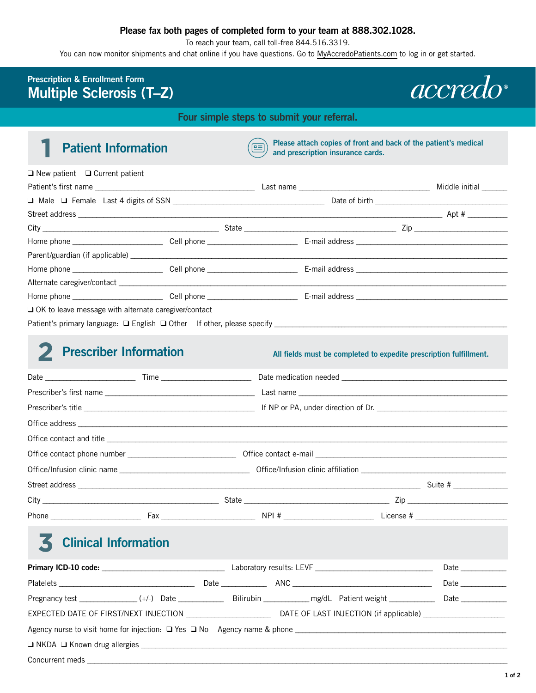## **Please fax both pages of completed form to your team at 888.302.1028.**

To reach your team, call toll-free 844.516.3319.

You can now monitor shipments and chat online if you have questions. Go to [MyAccredoPatients.com](https://prescribers.accredo.com/frontend/apw/login) to log in or get started.

## **Prescription & Enrollment Form Multiple Sclerosis (T–Z)**

*accredo* 

**Four simple steps to submit your referral.** 

**Patient Information Please attach copies of front and back of the patient's medical and prescription insurance cards and prescription insurance cards.** 

| $\Box$ New patient $\Box$ Current patient                   |  |                       |
|-------------------------------------------------------------|--|-----------------------|
|                                                             |  | Middle initial ______ |
|                                                             |  |                       |
|                                                             |  |                       |
|                                                             |  | $\overline{z}$ Zip    |
|                                                             |  |                       |
|                                                             |  |                       |
|                                                             |  |                       |
|                                                             |  |                       |
|                                                             |  |                       |
| $\Box$ OK to leave message with alternate caregiver/contact |  |                       |
|                                                             |  |                       |

## **2 Prescriber Information** *All fields must be completed to expedite prescription fulfillment.*

# 3 **Clinical Information**

|  |  |  |  |  |  | Date                                                                                                           |
|--|--|--|--|--|--|----------------------------------------------------------------------------------------------------------------|
|  |  |  |  |  |  | Date and the set of the set of the set of the set of the set of the set of the set of the set of the set of th |
|  |  |  |  |  |  |                                                                                                                |
|  |  |  |  |  |  |                                                                                                                |
|  |  |  |  |  |  |                                                                                                                |
|  |  |  |  |  |  |                                                                                                                |
|  |  |  |  |  |  |                                                                                                                |